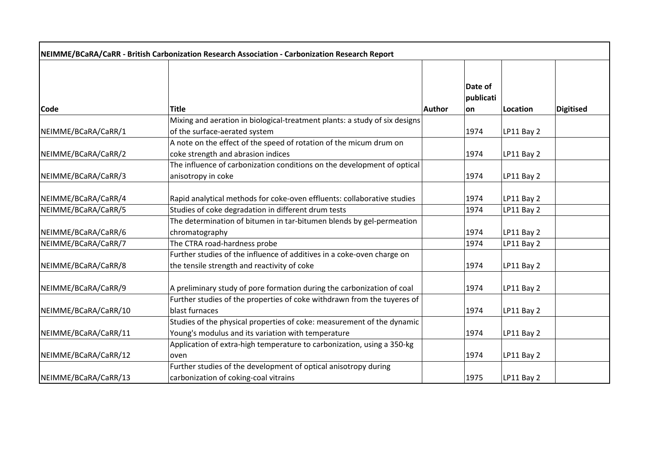| NEIMME/BCaRA/CaRR - British Carbonization Research Association - Carbonization Research Report |                                                                                                                              |               |                             |            |                  |
|------------------------------------------------------------------------------------------------|------------------------------------------------------------------------------------------------------------------------------|---------------|-----------------------------|------------|------------------|
| <b>Code</b>                                                                                    | <b>Title</b>                                                                                                                 | <b>Author</b> | Date of<br>publicati<br>lon | Location   | <b>Digitised</b> |
|                                                                                                | Mixing and aeration in biological-treatment plants: a study of six designs                                                   |               |                             |            |                  |
| NEIMME/BCaRA/CaRR/1                                                                            | of the surface-aerated system                                                                                                |               | 1974                        | LP11 Bay 2 |                  |
| NEIMME/BCaRA/CaRR/2                                                                            | A note on the effect of the speed of rotation of the micum drum on<br>coke strength and abrasion indices                     |               | 1974                        | LP11 Bay 2 |                  |
| NEIMME/BCaRA/CaRR/3                                                                            | The influence of carbonization conditions on the development of optical<br>anisotropy in coke                                |               | 1974                        | LP11 Bay 2 |                  |
| NEIMME/BCaRA/CaRR/4                                                                            | Rapid analytical methods for coke-oven effluents: collaborative studies                                                      |               | 1974                        | LP11 Bay 2 |                  |
| NEIMME/BCaRA/CaRR/5                                                                            | Studies of coke degradation in different drum tests                                                                          |               | 1974                        | LP11 Bay 2 |                  |
| NEIMME/BCaRA/CaRR/6                                                                            | The determination of bitumen in tar-bitumen blends by gel-permeation<br>chromatography                                       |               | 1974                        | LP11 Bay 2 |                  |
| NEIMME/BCaRA/CaRR/7                                                                            | The CTRA road-hardness probe                                                                                                 |               | 1974                        | LP11 Bay 2 |                  |
| NEIMME/BCaRA/CaRR/8                                                                            | Further studies of the influence of additives in a coke-oven charge on<br>the tensile strength and reactivity of coke        |               | 1974                        | LP11 Bay 2 |                  |
| NEIMME/BCaRA/CaRR/9                                                                            | A preliminary study of pore formation during the carbonization of coal                                                       |               | 1974                        | LP11 Bay 2 |                  |
| NEIMME/BCaRA/CaRR/10                                                                           | Further studies of the properties of coke withdrawn from the tuyeres of<br>blast furnaces                                    |               | 1974                        | LP11 Bay 2 |                  |
| NEIMME/BCaRA/CaRR/11                                                                           | Studies of the physical properties of coke: measurement of the dynamic<br>Young's modulus and its variation with temperature |               | 1974                        | LP11 Bay 2 |                  |
| NEIMME/BCaRA/CaRR/12                                                                           | Application of extra-high temperature to carbonization, using a 350-kg<br>oven                                               |               | 1974                        | LP11 Bay 2 |                  |
| NEIMME/BCaRA/CaRR/13                                                                           | Further studies of the development of optical anisotropy during<br>carbonization of coking-coal vitrains                     |               | 1975                        | LP11 Bay 2 |                  |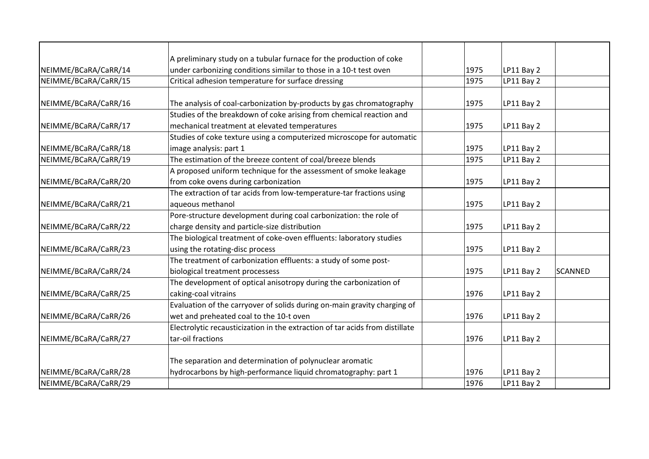|                      | A preliminary study on a tubular furnace for the production of coke          |      |            |                |
|----------------------|------------------------------------------------------------------------------|------|------------|----------------|
| NEIMME/BCaRA/CaRR/14 | under carbonizing conditions similar to those in a 10-t test oven            | 1975 | LP11 Bay 2 |                |
| NEIMME/BCaRA/CaRR/15 | Critical adhesion temperature for surface dressing                           | 1975 | LP11 Bay 2 |                |
|                      |                                                                              |      |            |                |
| NEIMME/BCaRA/CaRR/16 | The analysis of coal-carbonization by-products by gas chromatography         | 1975 | LP11 Bay 2 |                |
|                      | Studies of the breakdown of coke arising from chemical reaction and          |      |            |                |
| NEIMME/BCaRA/CaRR/17 | mechanical treatment at elevated temperatures                                | 1975 | LP11 Bay 2 |                |
|                      | Studies of coke texture using a computerized microscope for automatic        |      |            |                |
| NEIMME/BCaRA/CaRR/18 | image analysis: part 1                                                       | 1975 | LP11 Bay 2 |                |
| NEIMME/BCaRA/CaRR/19 | The estimation of the breeze content of coal/breeze blends                   | 1975 | LP11 Bay 2 |                |
|                      | A proposed uniform technique for the assessment of smoke leakage             |      |            |                |
| NEIMME/BCaRA/CaRR/20 | from coke ovens during carbonization                                         | 1975 | LP11 Bay 2 |                |
|                      | The extraction of tar acids from low-temperature-tar fractions using         |      |            |                |
| NEIMME/BCaRA/CaRR/21 | aqueous methanol                                                             | 1975 | LP11 Bay 2 |                |
|                      | Pore-structure development during coal carbonization: the role of            |      |            |                |
| NEIMME/BCaRA/CaRR/22 | charge density and particle-size distribution                                | 1975 | LP11 Bay 2 |                |
|                      | The biological treatment of coke-oven effluents: laboratory studies          |      |            |                |
| NEIMME/BCaRA/CaRR/23 | using the rotating-disc process                                              | 1975 | LP11 Bay 2 |                |
|                      | The treatment of carbonization effluents: a study of some post-              |      |            |                |
| NEIMME/BCaRA/CaRR/24 | biological treatment processess                                              | 1975 | LP11 Bay 2 | <b>SCANNED</b> |
|                      | The development of optical anisotropy during the carbonization of            |      |            |                |
| NEIMME/BCaRA/CaRR/25 | caking-coal vitrains                                                         | 1976 | LP11 Bay 2 |                |
|                      | Evaluation of the carryover of solids during on-main gravity charging of     |      |            |                |
| NEIMME/BCaRA/CaRR/26 | wet and preheated coal to the 10-t oven                                      | 1976 | LP11 Bay 2 |                |
|                      | Electrolytic recausticization in the extraction of tar acids from distillate |      |            |                |
| NEIMME/BCaRA/CaRR/27 | tar-oil fractions                                                            | 1976 | LP11 Bay 2 |                |
|                      | The separation and determination of polynuclear aromatic                     |      |            |                |
| NEIMME/BCaRA/CaRR/28 | hydrocarbons by high-performance liquid chromatography: part 1               | 1976 | LP11 Bay 2 |                |
| NEIMME/BCaRA/CaRR/29 |                                                                              | 1976 | LP11 Bay 2 |                |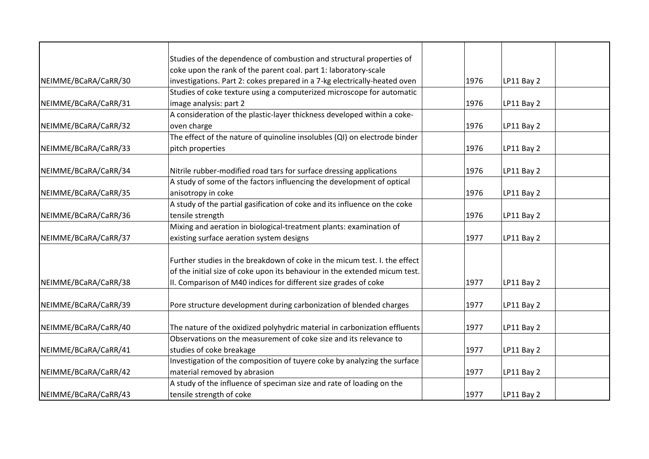|                      | Studies of the dependence of combustion and structural properties of       |      |            |
|----------------------|----------------------------------------------------------------------------|------|------------|
|                      | coke upon the rank of the parent coal. part 1: laboratory-scale            |      |            |
| NEIMME/BCaRA/CaRR/30 | investigations. Part 2: cokes prepared in a 7-kg electrically-heated oven  | 1976 | LP11 Bay 2 |
|                      | Studies of coke texture using a computerized microscope for automatic      |      |            |
| NEIMME/BCaRA/CaRR/31 | image analysis: part 2                                                     | 1976 | LP11 Bay 2 |
|                      | A consideration of the plastic-layer thickness developed within a coke-    |      |            |
| NEIMME/BCaRA/CaRR/32 | oven charge                                                                | 1976 | LP11 Bay 2 |
|                      | The effect of the nature of quinoline insolubles (QI) on electrode binder  |      |            |
| NEIMME/BCaRA/CaRR/33 | pitch properties                                                           | 1976 | LP11 Bay 2 |
| NEIMME/BCaRA/CaRR/34 | Nitrile rubber-modified road tars for surface dressing applications        | 1976 | LP11 Bay 2 |
|                      | A study of some of the factors influencing the development of optical      |      |            |
| NEIMME/BCaRA/CaRR/35 | anisotropy in coke                                                         | 1976 | LP11 Bay 2 |
|                      | A study of the partial gasification of coke and its influence on the coke  |      |            |
| NEIMME/BCaRA/CaRR/36 | tensile strength                                                           | 1976 | LP11 Bay 2 |
|                      | Mixing and aeration in biological-treatment plants: examination of         |      |            |
| NEIMME/BCaRA/CaRR/37 | existing surface aeration system designs                                   | 1977 | LP11 Bay 2 |
|                      |                                                                            |      |            |
|                      | Further studies in the breakdown of coke in the micum test. I. the effect  |      |            |
|                      | of the initial size of coke upon its behaviour in the extended micum test. |      |            |
| NEIMME/BCaRA/CaRR/38 | II. Comparison of M40 indices for different size grades of coke            | 1977 | LP11 Bay 2 |
| NEIMME/BCaRA/CaRR/39 | Pore structure development during carbonization of blended charges         | 1977 | LP11 Bay 2 |
|                      |                                                                            |      |            |
| NEIMME/BCaRA/CaRR/40 | The nature of the oxidized polyhydric material in carbonization effluents  | 1977 | LP11 Bay 2 |
|                      | Observations on the measurement of coke size and its relevance to          |      |            |
| NEIMME/BCaRA/CaRR/41 | studies of coke breakage                                                   | 1977 | LP11 Bay 2 |
|                      | Investigation of the composition of tuyere coke by analyzing the surface   |      |            |
| NEIMME/BCaRA/CaRR/42 | material removed by abrasion                                               | 1977 | LP11 Bay 2 |
|                      | A study of the influence of speciman size and rate of loading on the       |      |            |
| NEIMME/BCaRA/CaRR/43 | tensile strength of coke                                                   | 1977 | LP11 Bay 2 |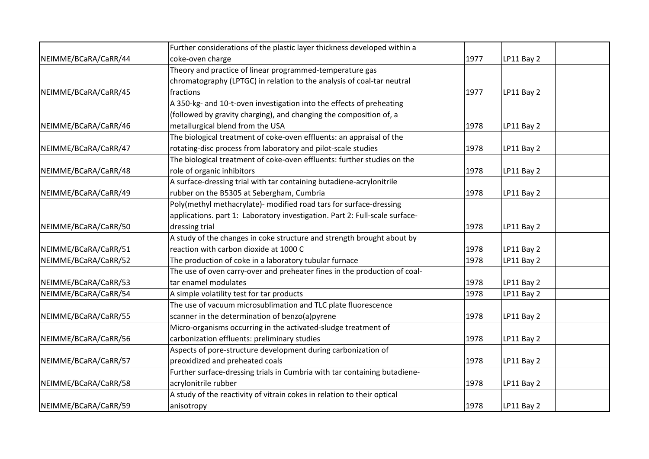|                      | Further considerations of the plastic layer thickness developed within a    |      |            |  |
|----------------------|-----------------------------------------------------------------------------|------|------------|--|
| NEIMME/BCaRA/CaRR/44 | coke-oven charge                                                            | 1977 | LP11 Bay 2 |  |
|                      | Theory and practice of linear programmed-temperature gas                    |      |            |  |
|                      | chromatography (LPTGC) in relation to the analysis of coal-tar neutral      |      |            |  |
| NEIMME/BCaRA/CaRR/45 | fractions                                                                   | 1977 | LP11 Bay 2 |  |
|                      | A 350-kg- and 10-t-oven investigation into the effects of preheating        |      |            |  |
|                      | (followed by gravity charging), and changing the composition of, a          |      |            |  |
| NEIMME/BCaRA/CaRR/46 | metallurgical blend from the USA                                            | 1978 | LP11 Bay 2 |  |
|                      | The biological treatment of coke-oven effluents: an appraisal of the        |      |            |  |
| NEIMME/BCaRA/CaRR/47 | rotating-disc process from laboratory and pilot-scale studies               | 1978 | LP11 Bay 2 |  |
|                      | The biological treatment of coke-oven effluents: further studies on the     |      |            |  |
| NEIMME/BCaRA/CaRR/48 | role of organic inhibitors                                                  | 1978 | LP11 Bay 2 |  |
|                      | A surface-dressing trial with tar containing butadiene-acrylonitrile        |      |            |  |
| NEIMME/BCaRA/CaRR/49 | rubber on the B5305 at Sebergham, Cumbria                                   | 1978 | LP11 Bay 2 |  |
|                      | Poly(methyl methacrylate)- modified road tars for surface-dressing          |      |            |  |
|                      | applications. part 1: Laboratory investigation. Part 2: Full-scale surface- |      |            |  |
| NEIMME/BCaRA/CaRR/50 | dressing trial                                                              | 1978 | LP11 Bay 2 |  |
|                      | A study of the changes in coke structure and strength brought about by      |      |            |  |
| NEIMME/BCaRA/CaRR/51 | reaction with carbon dioxide at 1000 C                                      | 1978 | LP11 Bay 2 |  |
| NEIMME/BCaRA/CaRR/52 | The production of coke in a laboratory tubular furnace                      | 1978 | LP11 Bay 2 |  |
|                      | The use of oven carry-over and preheater fines in the production of coal-   |      |            |  |
| NEIMME/BCaRA/CaRR/53 | tar enamel modulates                                                        | 1978 | LP11 Bay 2 |  |
| NEIMME/BCaRA/CaRR/54 | A simple volatility test for tar products                                   | 1978 | LP11 Bay 2 |  |
|                      | The use of vacuum microsublimation and TLC plate fluorescence               |      |            |  |
| NEIMME/BCaRA/CaRR/55 | scanner in the determination of benzo(a)pyrene                              | 1978 | LP11 Bay 2 |  |
|                      | Micro-organisms occurring in the activated-sludge treatment of              |      |            |  |
| NEIMME/BCaRA/CaRR/56 | carbonization effluents: preliminary studies                                | 1978 | LP11 Bay 2 |  |
|                      | Aspects of pore-structure development during carbonization of               |      |            |  |
| NEIMME/BCaRA/CaRR/57 | preoxidized and preheated coals                                             | 1978 | LP11 Bay 2 |  |
|                      | Further surface-dressing trials in Cumbria with tar containing butadiene-   |      |            |  |
| NEIMME/BCaRA/CaRR/58 | acrylonitrile rubber                                                        | 1978 | LP11 Bay 2 |  |
|                      | A study of the reactivity of vitrain cokes in relation to their optical     |      |            |  |
| NEIMME/BCaRA/CaRR/59 | anisotropy                                                                  | 1978 | LP11 Bay 2 |  |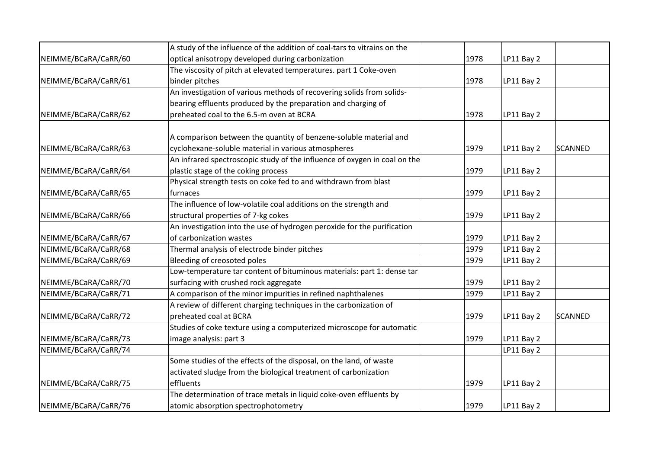|                      | A study of the influence of the addition of coal-tars to vitrains on the  |      |            |                |
|----------------------|---------------------------------------------------------------------------|------|------------|----------------|
| NEIMME/BCaRA/CaRR/60 | optical anisotropy developed during carbonization                         | 1978 | LP11 Bay 2 |                |
|                      | The viscosity of pitch at elevated temperatures. part 1 Coke-oven         |      |            |                |
| NEIMME/BCaRA/CaRR/61 | binder pitches                                                            | 1978 | LP11 Bay 2 |                |
|                      | An investigation of various methods of recovering solids from solids-     |      |            |                |
|                      | bearing effluents produced by the preparation and charging of             |      |            |                |
| NEIMME/BCaRA/CaRR/62 | preheated coal to the 6.5-m oven at BCRA                                  | 1978 | LP11 Bay 2 |                |
|                      |                                                                           |      |            |                |
|                      | A comparison between the quantity of benzene-soluble material and         |      |            |                |
| NEIMME/BCaRA/CaRR/63 | cyclohexane-soluble material in various atmospheres                       | 1979 | LP11 Bay 2 | <b>SCANNED</b> |
|                      | An infrared spectroscopic study of the influence of oxygen in coal on the |      |            |                |
| NEIMME/BCaRA/CaRR/64 | plastic stage of the coking process                                       | 1979 | LP11 Bay 2 |                |
|                      | Physical strength tests on coke fed to and withdrawn from blast           |      |            |                |
| NEIMME/BCaRA/CaRR/65 | furnaces                                                                  | 1979 | LP11 Bay 2 |                |
|                      | The influence of low-volatile coal additions on the strength and          |      |            |                |
| NEIMME/BCaRA/CaRR/66 | structural properties of 7-kg cokes                                       | 1979 | LP11 Bay 2 |                |
|                      | An investigation into the use of hydrogen peroxide for the purification   |      |            |                |
| NEIMME/BCaRA/CaRR/67 | of carbonization wastes                                                   | 1979 | LP11 Bay 2 |                |
| NEIMME/BCaRA/CaRR/68 | Thermal analysis of electrode binder pitches                              | 1979 | LP11 Bay 2 |                |
| NEIMME/BCaRA/CaRR/69 | Bleeding of creosoted poles                                               | 1979 | LP11 Bay 2 |                |
|                      | Low-temperature tar content of bituminous materials: part 1: dense tar    |      |            |                |
| NEIMME/BCaRA/CaRR/70 | surfacing with crushed rock aggregate                                     | 1979 | LP11 Bay 2 |                |
| NEIMME/BCaRA/CaRR/71 | A comparison of the minor impurities in refined naphthalenes              | 1979 | LP11 Bay 2 |                |
|                      | A review of different charging techniques in the carbonization of         |      |            |                |
| NEIMME/BCaRA/CaRR/72 | preheated coal at BCRA                                                    | 1979 | LP11 Bay 2 | <b>SCANNED</b> |
|                      | Studies of coke texture using a computerized microscope for automatic     |      |            |                |
| NEIMME/BCaRA/CaRR/73 | image analysis: part 3                                                    | 1979 | LP11 Bay 2 |                |
| NEIMME/BCaRA/CaRR/74 |                                                                           |      | LP11 Bay 2 |                |
|                      | Some studies of the effects of the disposal, on the land, of waste        |      |            |                |
|                      | activated sludge from the biological treatment of carbonization           |      |            |                |
| NEIMME/BCaRA/CaRR/75 | effluents                                                                 | 1979 | LP11 Bay 2 |                |
|                      | The determination of trace metals in liquid coke-oven effluents by        |      |            |                |
| NEIMME/BCaRA/CaRR/76 | atomic absorption spectrophotometry                                       | 1979 | LP11 Bay 2 |                |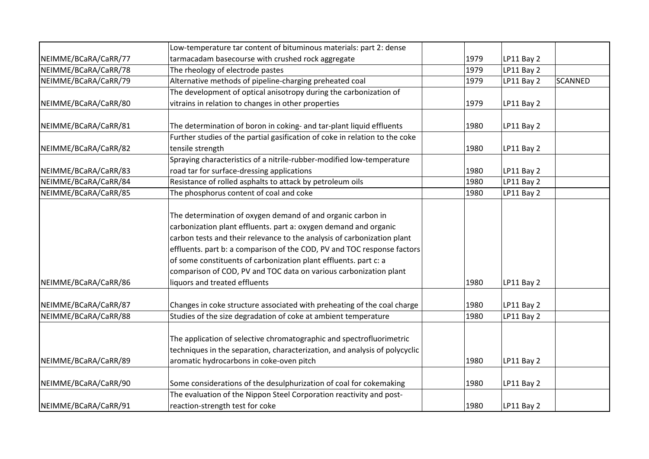|                                              | Low-temperature tar content of bituminous materials: part 2: dense                                                                                                                                                                                                                                                                                                                                                                                                                                                                         |              |                          |                |
|----------------------------------------------|--------------------------------------------------------------------------------------------------------------------------------------------------------------------------------------------------------------------------------------------------------------------------------------------------------------------------------------------------------------------------------------------------------------------------------------------------------------------------------------------------------------------------------------------|--------------|--------------------------|----------------|
| NEIMME/BCaRA/CaRR/77                         | tarmacadam basecourse with crushed rock aggregate                                                                                                                                                                                                                                                                                                                                                                                                                                                                                          | 1979         | LP11 Bay 2               |                |
| NEIMME/BCaRA/CaRR/78                         | The rheology of electrode pastes                                                                                                                                                                                                                                                                                                                                                                                                                                                                                                           | 1979         | LP11 Bay 2               |                |
| NEIMME/BCaRA/CaRR/79                         | Alternative methods of pipeline-charging preheated coal                                                                                                                                                                                                                                                                                                                                                                                                                                                                                    | 1979         | LP11 Bay 2               | <b>SCANNED</b> |
|                                              | The development of optical anisotropy during the carbonization of                                                                                                                                                                                                                                                                                                                                                                                                                                                                          |              |                          |                |
| NEIMME/BCaRA/CaRR/80                         | vitrains in relation to changes in other properties                                                                                                                                                                                                                                                                                                                                                                                                                                                                                        | 1979         | LP11 Bay 2               |                |
| NEIMME/BCaRA/CaRR/81                         | The determination of boron in coking- and tar-plant liquid effluents                                                                                                                                                                                                                                                                                                                                                                                                                                                                       | 1980         | LP11 Bay 2               |                |
|                                              | Further studies of the partial gasification of coke in relation to the coke                                                                                                                                                                                                                                                                                                                                                                                                                                                                |              |                          |                |
| NEIMME/BCaRA/CaRR/82                         | tensile strength                                                                                                                                                                                                                                                                                                                                                                                                                                                                                                                           | 1980         | LP11 Bay 2               |                |
|                                              | Spraying characteristics of a nitrile-rubber-modified low-temperature                                                                                                                                                                                                                                                                                                                                                                                                                                                                      |              |                          |                |
| NEIMME/BCaRA/CaRR/83                         | road tar for surface-dressing applications                                                                                                                                                                                                                                                                                                                                                                                                                                                                                                 | 1980         | <b>LP11 Bay 2</b>        |                |
| NEIMME/BCaRA/CaRR/84                         | Resistance of rolled asphalts to attack by petroleum oils                                                                                                                                                                                                                                                                                                                                                                                                                                                                                  | 1980         | LP11 Bay 2               |                |
| NEIMME/BCaRA/CaRR/85                         | The phosphorus content of coal and coke                                                                                                                                                                                                                                                                                                                                                                                                                                                                                                    | 1980         | LP11 Bay 2               |                |
| NEIMME/BCaRA/CaRR/86<br>NEIMME/BCaRA/CaRR/87 | The determination of oxygen demand of and organic carbon in<br>carbonization plant effluents. part a: oxygen demand and organic<br>carbon tests and their relevance to the analysis of carbonization plant<br>effluents. part b: a comparison of the COD, PV and TOC response factors<br>of some constituents of carbonization plant effluents. part c: a<br>comparison of COD, PV and TOC data on various carbonization plant<br>liquors and treated effluents<br>Changes in coke structure associated with preheating of the coal charge | 1980<br>1980 | LP11 Bay 2<br>LP11 Bay 2 |                |
| NEIMME/BCaRA/CaRR/88                         | Studies of the size degradation of coke at ambient temperature                                                                                                                                                                                                                                                                                                                                                                                                                                                                             | 1980         | LP11 Bay 2               |                |
|                                              | The application of selective chromatographic and spectrofluorimetric<br>techniques in the separation, characterization, and analysis of polycyclic                                                                                                                                                                                                                                                                                                                                                                                         |              |                          |                |
| NEIMME/BCaRA/CaRR/89                         | aromatic hydrocarbons in coke-oven pitch                                                                                                                                                                                                                                                                                                                                                                                                                                                                                                   | 1980         | LP11 Bay 2               |                |
| NEIMME/BCaRA/CaRR/90                         | Some considerations of the desulphurization of coal for cokemaking                                                                                                                                                                                                                                                                                                                                                                                                                                                                         | 1980         | LP11 Bay 2               |                |
| NEIMME/BCaRA/CaRR/91                         | The evaluation of the Nippon Steel Corporation reactivity and post-<br>reaction-strength test for coke                                                                                                                                                                                                                                                                                                                                                                                                                                     | 1980         | LP11 Bay 2               |                |